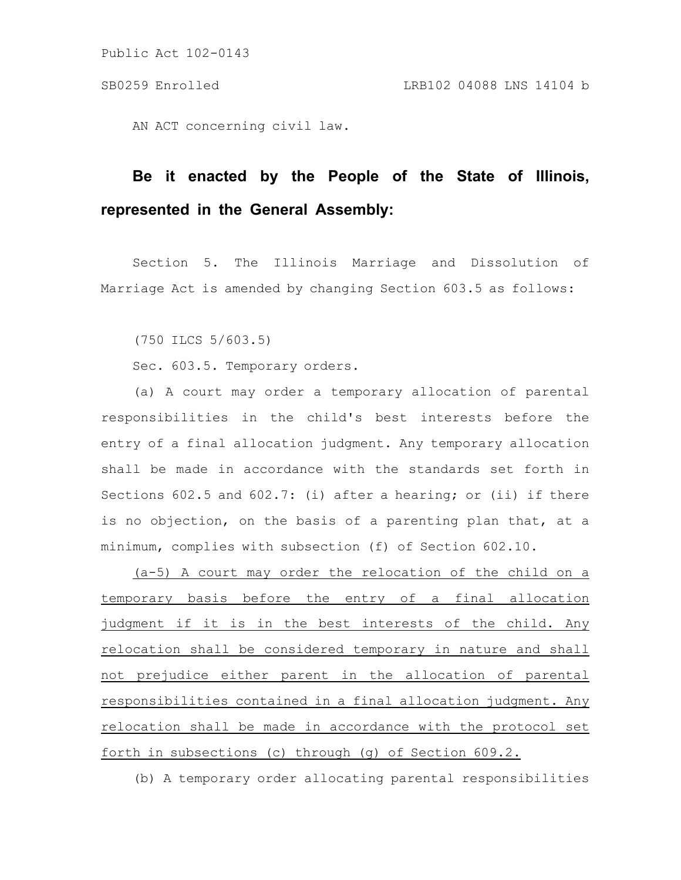Public Act 102-0143

AN ACT concerning civil law.

## **Be it enacted by the People of the State of Illinois, represented in the General Assembly:**

Section 5. The Illinois Marriage and Dissolution of Marriage Act is amended by changing Section 603.5 as follows:

(750 ILCS 5/603.5)

Sec. 603.5. Temporary orders.

(a) A court may order a temporary allocation of parental responsibilities in the child's best interests before the entry of a final allocation judgment. Any temporary allocation shall be made in accordance with the standards set forth in Sections 602.5 and 602.7: (i) after a hearing; or (ii) if there is no objection, on the basis of a parenting plan that, at a minimum, complies with subsection (f) of Section 602.10.

(a-5) A court may order the relocation of the child on a temporary basis before the entry of a final allocation judgment if it is in the best interests of the child. Any relocation shall be considered temporary in nature and shall not prejudice either parent in the allocation of parental responsibilities contained in a final allocation judgment. Any relocation shall be made in accordance with the protocol set forth in subsections (c) through (g) of Section 609.2.

(b) A temporary order allocating parental responsibilities